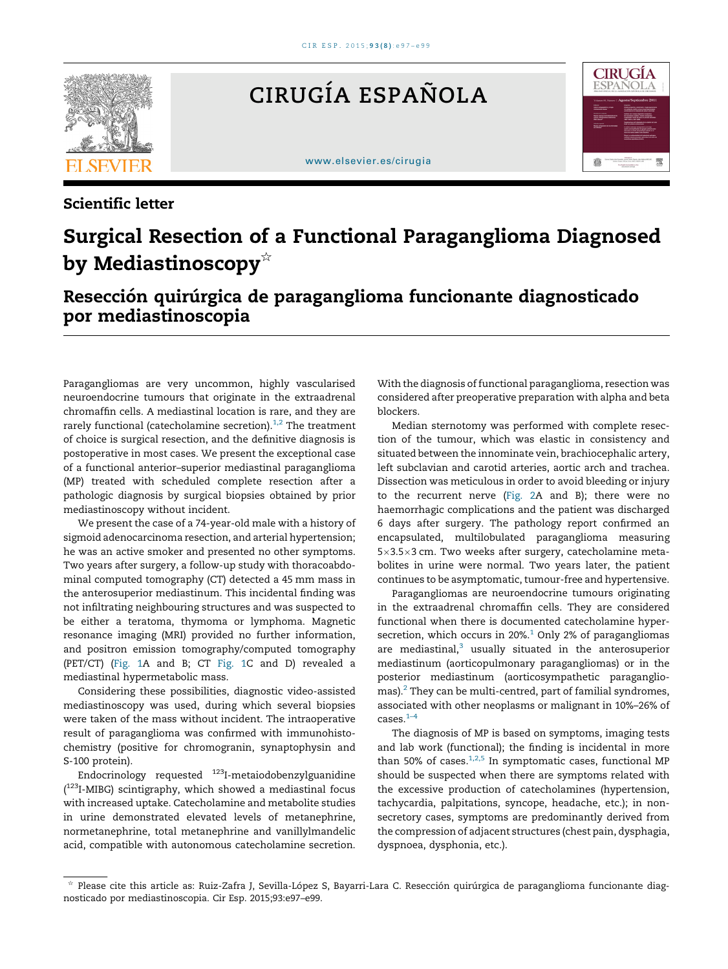

## CIRUGÍA ESPAÑOLA

[www.elsevier.es/cirugia](http://www.elsevier.es/cirugia)



## Scientific letter

## Surgical Resection of a Functional Paraganglioma Diagnosed by Mediastinoscopy $\overline{\mathbf{y}}$

## Resección quirúrgica de paraganglioma funcionante diagnosticado por mediastinoscopia

Paragangliomas are very uncommon, highly vascularised neuroendocrine tumours that originate in the extraadrenal chromaffin cells. A mediastinal location is rare, and they are rarely functional (catecholamine secretion). $1,2$  The treatment of choice is surgical resection, and the definitive diagnosis is postoperative in most cases. We present the exceptional case of a functional anterior–superior mediastinal paraganglioma (MP) treated with scheduled complete resection after a pathologic diagnosis by surgical biopsies obtained by prior mediastinoscopy without incident.

We present the case of a 74-year-old male with a history of sigmoid adenocarcinoma resection, and arterial hypertension; he was an active smoker and presented no other symptoms. Two years after surgery, a follow-up study with thoracoabdominal computed tomography (CT) detected a 45 mm mass in the anterosuperior mediastinum. This incidental finding was not infiltrating neighbouring structures and was suspected to be either a teratoma, thymoma or lymphoma. Magnetic resonance imaging (MRI) provided no further information, and positron emission tomography/computed tomography (PET/CT) [\(Fig.](#page-1-0) 1A and B; CT [Fig.](#page-1-0) 1C and D) revealed a mediastinal hypermetabolic mass.

Considering these possibilities, diagnostic video-assisted mediastinoscopy was used, during which several biopsies were taken of the mass without incident. The intraoperative result of paraganglioma was confirmed with immunohistochemistry (positive for chromogranin, synaptophysin and S-100 protein).

Endocrinology requested  $123$ I-metaiodobenzylguanidine (<sup>123</sup>I-MIBG) scintigraphy, which showed a mediastinal focus with increased uptake. Catecholamine and metabolite studies in urine demonstrated elevated levels of metanephrine, normetanephrine, total metanephrine and vanillylmandelic acid, compatible with autonomous catecholamine secretion.

With the diagnosis of functional paraganglioma, resection was considered after preoperative preparation with alpha and beta blockers.

Median sternotomy was performed with complete resection of the tumour, which was elastic in consistency and situated between the innominate vein, brachiocephalic artery, left subclavian and carotid arteries, aortic arch and trachea. Dissection was meticulous in order to avoid bleeding or injury to the recurrent nerve [\(Fig.](#page-1-0) 2A and B); there were no haemorrhagic complications and the patient was discharged 6 days after surgery. The pathology report confirmed an encapsulated, multilobulated paraganglioma measuring 5×3.5×3 cm. Two weeks after surgery, catecholamine metabolites in urine were normal. Two years later, the patient continues to be asymptomatic, tumour-free and hypertensive.

Paragangliomas are neuroendocrine tumours originating in the extraadrenal chromaffin cells. They are considered functional when there is documented catecholamine hypersecretion, which occurs in 20%. $1$  Only 2% of paragangliomas are mediastinal, $3$  usually situated in the anterosuperior mediastinum (aorticopulmonary paragangliomas) or in the posterior mediastinum (aorticosympathetic paraganglio- $\text{mas}$ ).<sup>[2](#page-2-0)</sup> They can be multi-centred, part of familial syndromes, associated with other neoplasms or malignant in 10%–26% of cases. $1-4$ 

The diagnosis of MP is based on symptoms, imaging tests and lab work (functional); the finding is incidental in more than 50% of cases. $1,2,5$  In symptomatic cases, functional MP should be suspected when there are symptoms related with the excessive production of catecholamines (hypertension, tachycardia, palpitations, syncope, headache, etc.); in nonsecretory cases, symptoms are predominantly derived from the compression of adjacent structures (chest pain, dysphagia, dyspnoea, dysphonia, etc.).

<sup>§</sup> Please cite this article as: Ruiz-Zafra J, Sevilla-López S, Bayarri-Lara C. Resección quirúrgica de paraganglioma funcionante diagnosticado por mediastinoscopia. Cir Esp. 2015;93:e97–e99.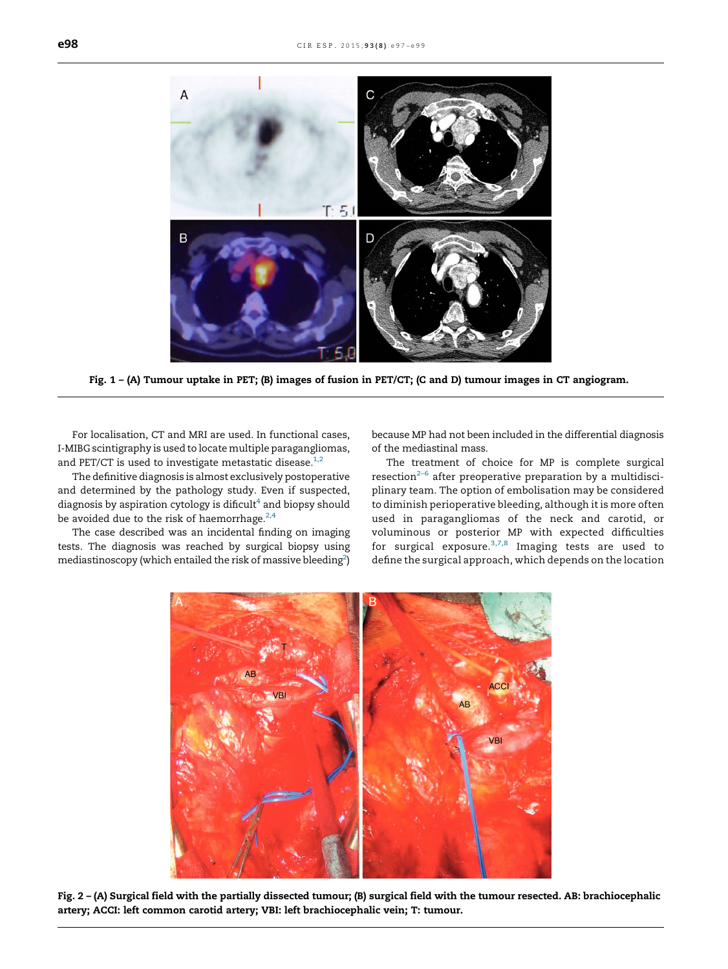<span id="page-1-0"></span>

Fig. 1 – (A) Tumour uptake in PET; (B) images of fusion in PET/CT; (C and D) tumour images in CT angiogram.

For localisation, CT and MRI are used. In functional cases, I-MIBG scintigraphy is used to locate multiple paragangliomas, and PET/CT is used to investigate metastatic disease. $1,2$ 

The definitive diagnosis is almost exclusively postoperative and determined by the pathology study. Even if suspected, diagnosis by aspiration cytology is dificult $4$  and biopsy should be avoided due to the risk of haemorrhage. $2,4$ 

The case described was an incidental finding on imaging tests. The diagnosis was reached by surgical biopsy using mediastinoscopy (which entailed the risk of massive bleeding<sup>[2](#page-2-0)</sup>)

because MP had not been included in the differential diagnosis of the mediastinal mass.

The treatment of choice for MP is complete surgical resection<sup> $2-6$ </sup> after preoperative preparation by a multidisciplinary team. The option of embolisation may be considered to diminish perioperative bleeding, although it is more often used in paragangliomas of the neck and carotid, or voluminous or posterior MP with expected difficulties for surgical exposure.<sup>[3,7,8](#page-2-0)</sup> Imaging tests are used to define the surgical approach, which depends on the location



Fig. 2 – (A) Surgical field with the partially dissected tumour; (B) surgical field with the tumour resected. AB: brachiocephalic artery; ACCI: left common carotid artery; VBI: left brachiocephalic vein; T: tumour.